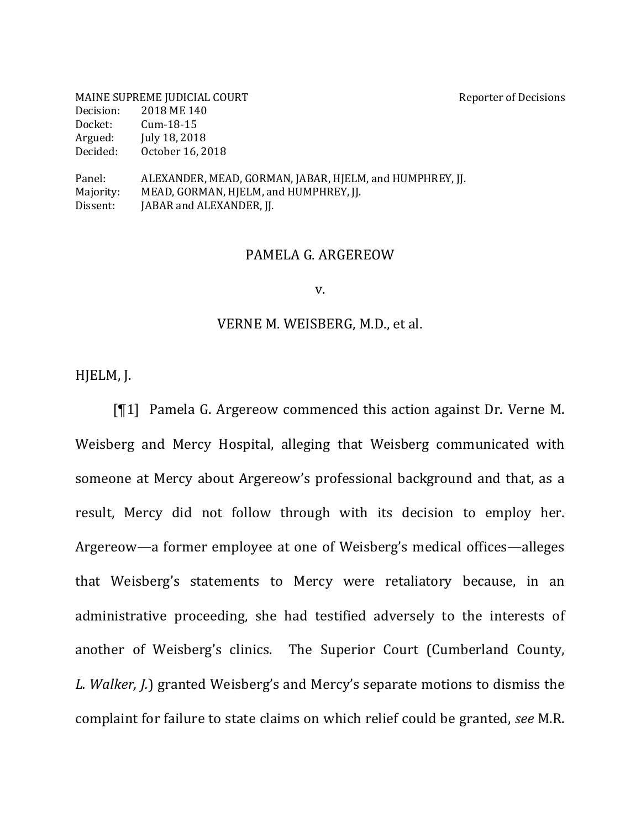|           | MAINE SUPREME JUDICIAL COURT                             | <b>Reporter of Decisions</b> |
|-----------|----------------------------------------------------------|------------------------------|
| Decision: | 2018 ME 140                                              |                              |
| Docket:   | $Cum-18-15$                                              |                              |
| Argued:   | July 18, 2018                                            |                              |
| Decided:  | October 16, 2018                                         |                              |
| Panel:    | ALEXANDER, MEAD, GORMAN, JABAR, HIELM, and HUMPHREY, JJ. |                              |
| Majority: | MEAD, GORMAN, HJELM, and HUMPHREY, JJ.                   |                              |
| Dissent:  | [ABAR and ALEXANDER, JJ.                                 |                              |

## PAMELA G. ARGEREOW

v.

#### VERNE M. WEISBERG, M.D., et al.

HJELM, J.

[¶1] Pamela G. Argereow commenced this action against Dr. Verne M. Weisberg and Mercy Hospital, alleging that Weisberg communicated with someone at Mercy about Argereow's professional background and that, as a result, Mercy did not follow through with its decision to employ her. Argereow—a former employee at one of Weisberg's medical offices—alleges that Weisberg's statements to Mercy were retaliatory because, in an administrative proceeding, she had testified adversely to the interests of another of Weisberg's clinics. The Superior Court (Cumberland County, *L. Walker, J.*) granted Weisberg's and Mercy's separate motions to dismiss the complaint for failure to state claims on which relief could be granted, *see* M.R.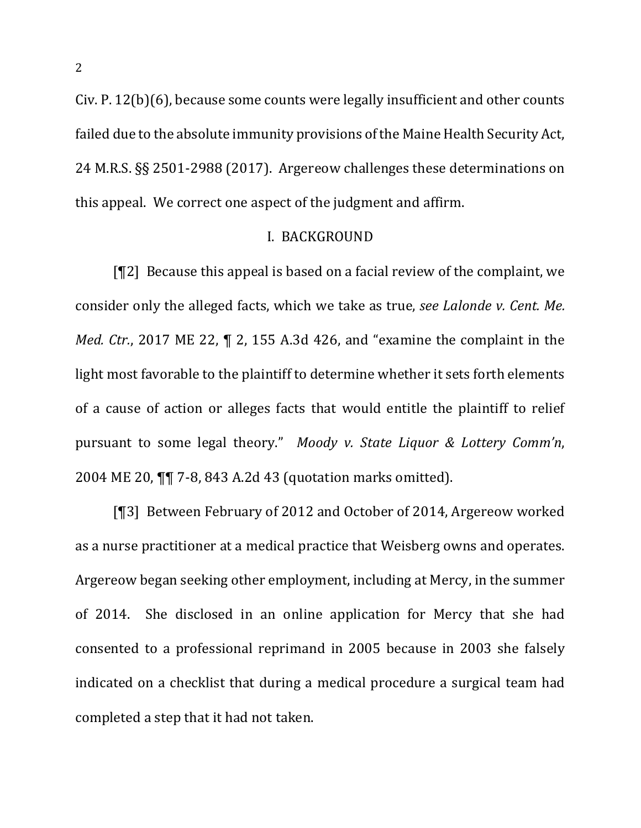$Civ. P. 12(b)(6)$ , because some counts were legally insufficient and other counts failed due to the absolute immunity provisions of the Maine Health Security Act, 24 M.R.S. §§ 2501-2988 (2017). Argereow challenges these determinations on this appeal. We correct one aspect of the judgment and affirm.

#### **I. BACKGROUND**

[ $[$ [2] Because this appeal is based on a facial review of the complaint, we consider only the alleged facts, which we take as true, *see Lalonde v. Cent. Me. Med. Ctr.*, 2017 ME 22, ¶ 2, 155 A.3d 426, and "examine the complaint in the light most favorable to the plaintiff to determine whether it sets forth elements of a cause of action or alleges facts that would entitle the plaintiff to relief pursuant to some legal theory." Moody v. State Liquor & Lottery Comm'n, 2004 ME 20,  $\P$  7-8, 843 A.2d 43 (quotation marks omitted).

[¶3] Between February of 2012 and October of 2014, Argereow worked as a nurse practitioner at a medical practice that Weisberg owns and operates. Argereow began seeking other employment, including at Mercy, in the summer of 2014. She disclosed in an online application for Mercy that she had consented to a professional reprimand in 2005 because in 2003 she falsely indicated on a checklist that during a medical procedure a surgical team had completed a step that it had not taken.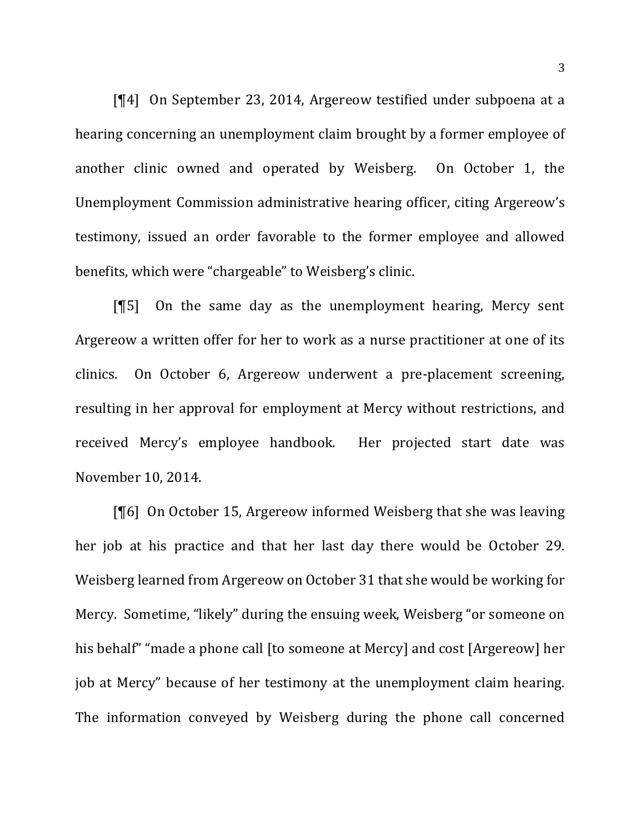[¶4] On September 23, 2014, Argereow testified under subpoena at a hearing concerning an unemployment claim brought by a former employee of another clinic owned and operated by Weisberg. On October 1, the Unemployment Commission administrative hearing officer, citing Argereow's testimony, issued an order favorable to the former employee and allowed benefits, which were "chargeable" to Weisberg's clinic.

 $[$ [15] On the same day as the unemployment hearing, Mercy sent Argereow a written offer for her to work as a nurse practitioner at one of its clinics. On October 6, Argereow underwent a pre-placement screening, resulting in her approval for employment at Mercy without restrictions, and received Mercy's employee handbook. Her projected start date was November 10, 2014.

 $[\P6]$  On October 15, Argereow informed Weisberg that she was leaving her job at his practice and that her last day there would be October 29. Weisberg learned from Argereow on October 31 that she would be working for Mercy. Sometime, "likely" during the ensuing week, Weisberg "or someone on his behalf" "made a phone call [to someone at Mercy] and cost [Argereow] her job at Mercy" because of her testimony at the unemployment claim hearing. The information conveyed by Weisberg during the phone call concerned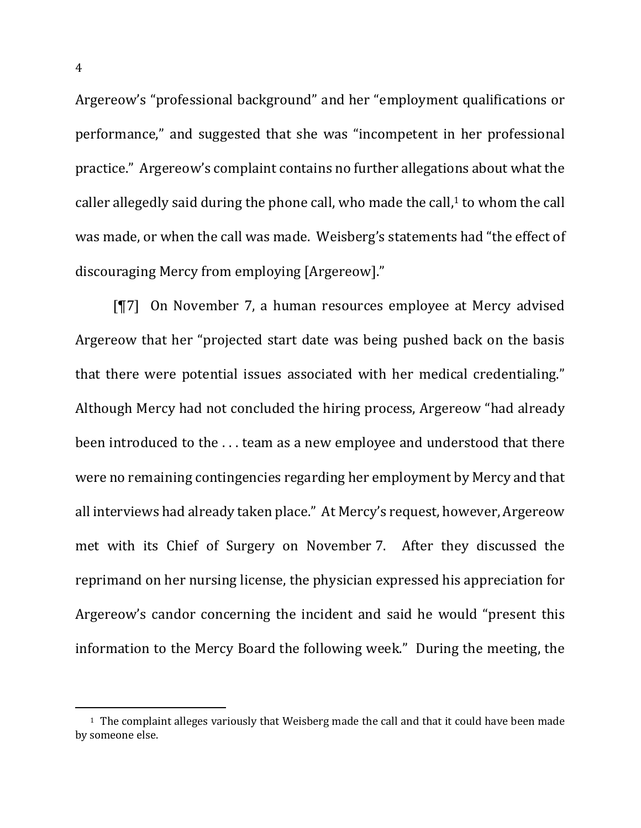Argereow's "professional background" and her "employment qualifications or performance," and suggested that she was "incompetent in her professional practice." Argereow's complaint contains no further allegations about what the caller allegedly said during the phone call, who made the call, $1$  to whom the call was made, or when the call was made. Weisberg's statements had "the effect of discouraging Mercy from employing [Argereow]."

 $[T7]$  On November 7, a human resources employee at Mercy advised Argereow that her "projected start date was being pushed back on the basis that there were potential issues associated with her medical credentialing." Although Mercy had not concluded the hiring process, Argereow "had already been introduced to the ... team as a new employee and understood that there were no remaining contingencies regarding her employment by Mercy and that all interviews had already taken place." At Mercy's request, however, Argereow met with its Chief of Surgery on November 7. After they discussed the reprimand on her nursing license, the physician expressed his appreciation for Argereow's candor concerning the incident and said he would "present this information to the Mercy Board the following week." During the meeting, the

l

 $1$  The complaint alleges variously that Weisberg made the call and that it could have been made by someone else.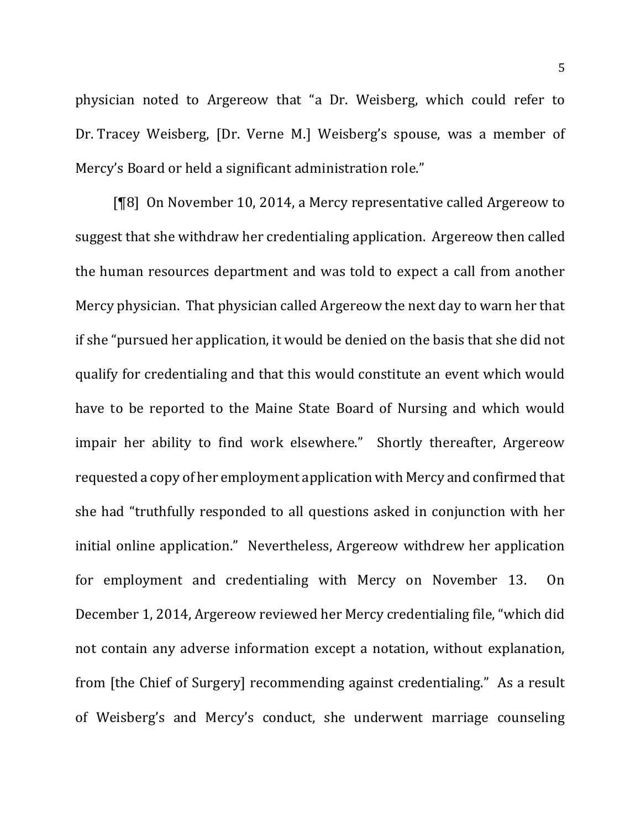physician noted to Argereow that "a Dr. Weisberg, which could refer to Dr. Tracey Weisberg, [Dr. Verne M.] Weisberg's spouse, was a member of Mercy's Board or held a significant administration role."

[¶8] On November 10, 2014, a Mercy representative called Argereow to suggest that she withdraw her credentialing application. Argereow then called the human resources department and was told to expect a call from another Mercy physician. That physician called Argereow the next day to warn her that if she "pursued her application, it would be denied on the basis that she did not qualify for credentialing and that this would constitute an event which would have to be reported to the Maine State Board of Nursing and which would impair her ability to find work elsewhere." Shortly thereafter, Argereow requested a copy of her employment application with Mercy and confirmed that she had "truthfully responded to all questions asked in conjunction with her initial online application." Nevertheless, Argereow withdrew her application for employment and credentialing with Mercy on November 13. On December 1, 2014, Argereow reviewed her Mercy credentialing file, "which did not contain any adverse information except a notation, without explanation, from [the Chief of Surgery] recommending against credentialing." As a result of Weisberg's and Mercy's conduct, she underwent marriage counseling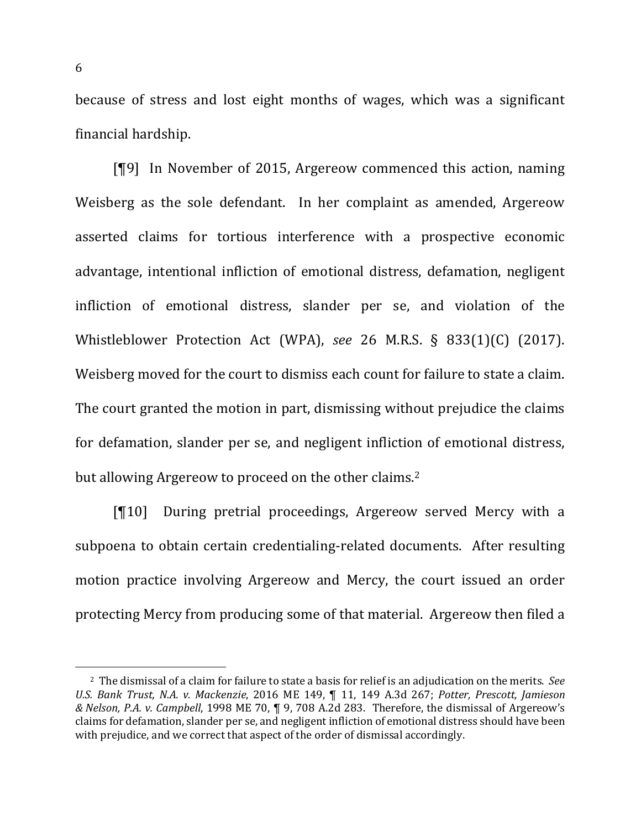because of stress and lost eight months of wages, which was a significant financial hardship. 

[¶9] In November of 2015, Argereow commenced this action, naming Weisberg as the sole defendant. In her complaint as amended, Argereow asserted claims for tortious interference with a prospective economic advantage, intentional infliction of emotional distress, defamation, negligent infliction of emotional distress, slander per se, and violation of the Whistleblower Protection Act (WPA), see 26 M.R.S. § 833(1)(C) (2017). Weisberg moved for the court to dismiss each count for failure to state a claim. The court granted the motion in part, dismissing without prejudice the claims for defamation, slander per se, and negligent infliction of emotional distress, but allowing Argereow to proceed on the other claims.<sup>2</sup>

[¶10] During pretrial proceedings, Argereow served Mercy with a subpoena to obtain certain credentialing-related documents. After resulting motion practice involving Argereow and Mercy, the court issued an order protecting Mercy from producing some of that material. Argereow then filed a

<sup>&</sup>lt;sup>2</sup> The dismissal of a claim for failure to state a basis for relief is an adjudication on the merits. See *U.S. Bank Trust, N.A. v. Mackenzie,* 2016 ME 149,  $\P$  11, 149 A.3d 267; Potter, Prescott, Jamieson *& Nelson, P.A. v. Campbell*, 1998 ME 70, ¶ 9, 708 A.2d 283. Therefore, the dismissal of Argereow's claims for defamation, slander per se, and negligent infliction of emotional distress should have been with prejudice, and we correct that aspect of the order of dismissal accordingly.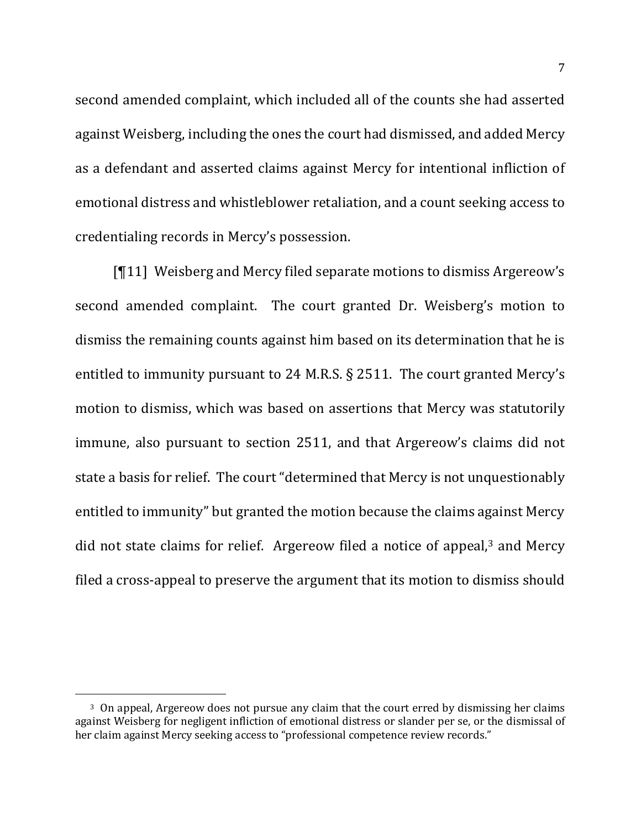second amended complaint, which included all of the counts she had asserted against Weisberg, including the ones the court had dismissed, and added Mercy as a defendant and asserted claims against Mercy for intentional infliction of emotional distress and whistleblower retaliation, and a count seeking access to credentialing records in Mercy's possession.

 $[11]$  Weisberg and Mercy filed separate motions to dismiss Argereow's second amended complaint. The court granted Dr. Weisberg's motion to dismiss the remaining counts against him based on its determination that he is entitled to immunity pursuant to 24 M.R.S.  $\S$  2511. The court granted Mercy's motion to dismiss, which was based on assertions that Mercy was statutorily immune, also pursuant to section 2511, and that Argereow's claims did not state a basis for relief. The court "determined that Mercy is not unquestionably entitled to immunity" but granted the motion because the claims against Mercy did not state claims for relief. Argereow filed a notice of appeal, $3$  and Mercy filed a cross-appeal to preserve the argument that its motion to dismiss should

<sup>&</sup>lt;sup>3</sup> On appeal, Argereow does not pursue any claim that the court erred by dismissing her claims against Weisberg for negligent infliction of emotional distress or slander per se, or the dismissal of her claim against Mercy seeking access to "professional competence review records."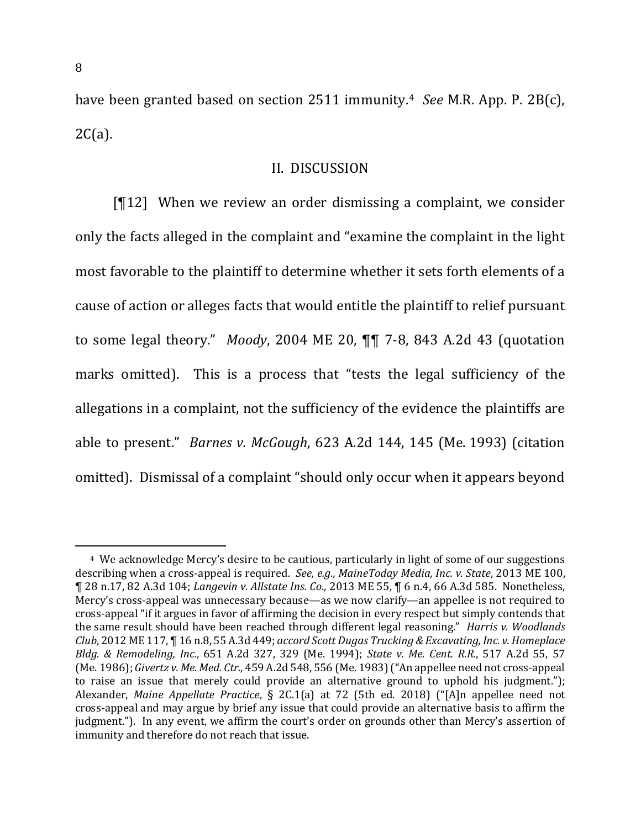have been granted based on section 2511 immunity.<sup>4</sup> See M.R. App. P. 2B(c), 2C(a). 

### II. DISCUSSION

[ $[12]$  When we review an order dismissing a complaint, we consider only the facts alleged in the complaint and "examine the complaint in the light most favorable to the plaintiff to determine whether it sets forth elements of a cause of action or alleges facts that would entitle the plaintiff to relief pursuant to some legal theory." *Moody*, 2004 ME 20,  $\P\P$  7-8, 843 A.2d 43 (quotation marks omitted). This is a process that "tests the legal sufficiency of the allegations in a complaint, not the sufficiency of the evidence the plaintiffs are able to present." *Barnes v. McGough*, 623 A.2d 144, 145 (Me. 1993) (citation omitted). Dismissal of a complaint "should only occur when it appears beyond

<sup>&</sup>lt;sup>4</sup> We acknowledge Mercy's desire to be cautious, particularly in light of some of our suggestions describing when a cross-appeal is required. See, e.g., MaineToday Media, Inc. v. State, 2013 ME 100, ¶ 28 n.17, 82 A.3d 104; *Langevin v. Allstate Ins. Co*., 2013 ME 55, ¶ 6 n.4, 66 A.3d 585. Nonetheless, Mercy's cross-appeal was unnecessary because—as we now clarify—an appellee is not required to cross-appeal "if it argues in favor of affirming the decision in every respect but simply contends that the same result should have been reached through different legal reasoning." *Harris v. Woodlands Club*, 2012 ME 117, ¶ 16 n.8, 55 A.3d 449; *accord Scott Dugas Trucking & Excavating, Inc. v. Homeplace Bldg. & Remodeling, Inc.*, 651 A.2d 327, 329 (Me. 1994); *State v. Me. Cent. R.R.*, 517 A.2d 55, 57 (Me. 1986); *Givertz v. Me. Med. Ctr.*, 459 A.2d 548, 556 (Me. 1983) ("An appellee need not cross-appeal to raise an issue that merely could provide an alternative ground to uphold his judgment."); Alexander, *Maine Appellate Practice*, § 2C.1(a) at 72 (5th ed. 2018) ("[A]n appellee need not cross-appeal and may argue by brief any issue that could provide an alternative basis to affirm the judgment."). In any event, we affirm the court's order on grounds other than Mercy's assertion of immunity and therefore do not reach that issue.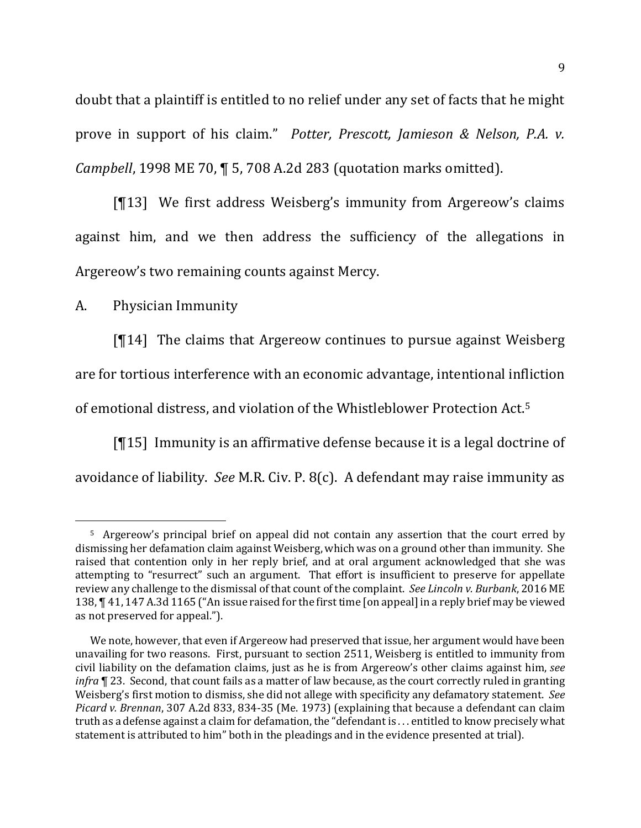doubt that a plaintiff is entitled to no relief under any set of facts that he might prove in support of his claim." Potter, Prescott, Jamieson & Nelson, P.A. v. *Campbell*, 1998 ME 70, ¶ 5, 708 A.2d 283 (quotation marks omitted).

[¶13] We first address Weisberg's immunity from Argereow's claims against him, and we then address the sufficiency of the allegations in Argereow's two remaining counts against Mercy.

A. Physician Immunity

 $\overline{a}$ 

 $[T14]$  The claims that Argereow continues to pursue against Weisberg are for tortious interference with an economic advantage, intentional infliction of emotional distress, and violation of the Whistleblower Protection Act.<sup>5</sup>

 $[15]$  Immunity is an affirmative defense because it is a legal doctrine of avoidance of liability. See M.R. Civ. P. 8(c). A defendant may raise immunity as

<sup>5</sup> Argereow's principal brief on appeal did not contain any assertion that the court erred by dismissing her defamation claim against Weisberg, which was on a ground other than immunity. She raised that contention only in her reply brief, and at oral argument acknowledged that she was attempting to "resurrect" such an argument. That effort is insufficient to preserve for appellate review any challenge to the dismissal of that count of the complaint. See Lincoln v. Burbank, 2016 ME 138,  $\P$  41, 147 A.3d 1165 ("An issue raised for the first time [on appeal] in a reply brief may be viewed as not preserved for appeal.").

We note, however, that even if Argereow had preserved that issue, her argument would have been unavailing for two reasons. First, pursuant to section 2511, Weisberg is entitled to immunity from civil liability on the defamation claims, just as he is from Argereow's other claims against him, see *infra* **[4** 23. Second, that count fails as a matter of law because, as the court correctly ruled in granting Weisberg's first motion to dismiss, she did not allege with specificity any defamatory statement. See *Picard v. Brennan*, 307 A.2d 833, 834-35 (Me. 1973) (explaining that because a defendant can claim truth as a defense against a claim for defamation, the "defendant is ... entitled to know precisely what statement is attributed to him" both in the pleadings and in the evidence presented at trial).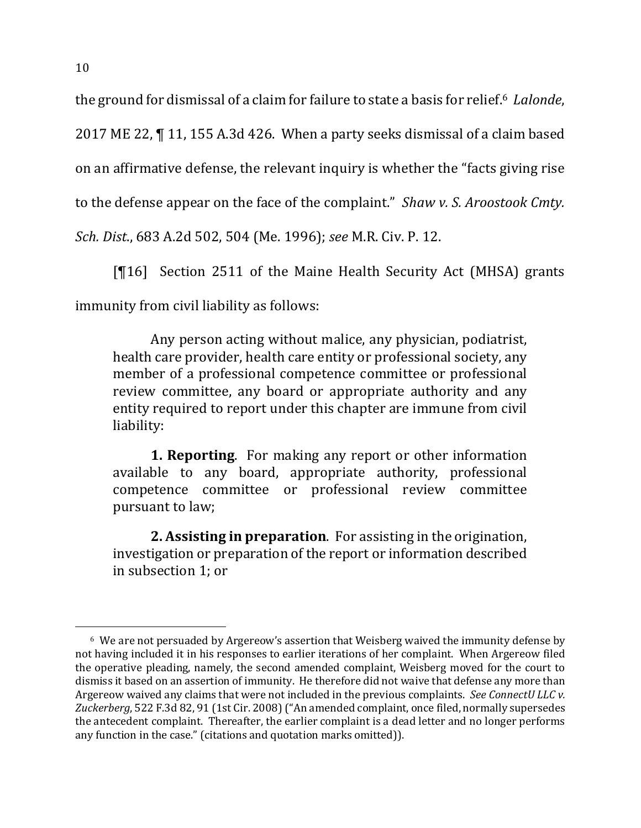the ground for dismissal of a claim for failure to state a basis for relief.<sup>6</sup> Lalonde,

2017 ME 22,  $\P$  11, 155 A.3d 426. When a party seeks dismissal of a claim based

on an affirmative defense, the relevant inquiry is whether the "facts giving rise

to the defense appear on the face of the complaint." *Shaw v. S. Aroostook Cmty.* 

*Sch. Dist.*, 683 A.2d 502, 504 (Me. 1996); *see* M.R. Civ. P. 12.

[¶16] Section 2511 of the Maine Health Security Act (MHSA) grants immunity from civil liability as follows:

Any person acting without malice, any physician, podiatrist, health care provider, health care entity or professional society, any member of a professional competence committee or professional review committee, any board or appropriate authority and any entity required to report under this chapter are immune from civil liability:

**1. Reporting.** For making any report or other information available to any board, appropriate authority, professional competence committee or professional review committee pursuant to law;

**2. Assisting in preparation**. For assisting in the origination, investigation or preparation of the report or information described in subsection 1; or

 $6\,$  We are not persuaded by Argereow's assertion that Weisberg waived the immunity defense by not having included it in his responses to earlier iterations of her complaint. When Argereow filed the operative pleading, namely, the second amended complaint, Weisberg moved for the court to dismiss it based on an assertion of immunity. He therefore did not waive that defense any more than Argereow waived any claims that were not included in the previous complaints. See ConnectU LLC v. Zuckerberg, 522 F.3d 82, 91 (1st Cir. 2008) ("An amended complaint, once filed, normally supersedes the antecedent complaint. Thereafter, the earlier complaint is a dead letter and no longer performs any function in the case." (citations and quotation marks omitted)).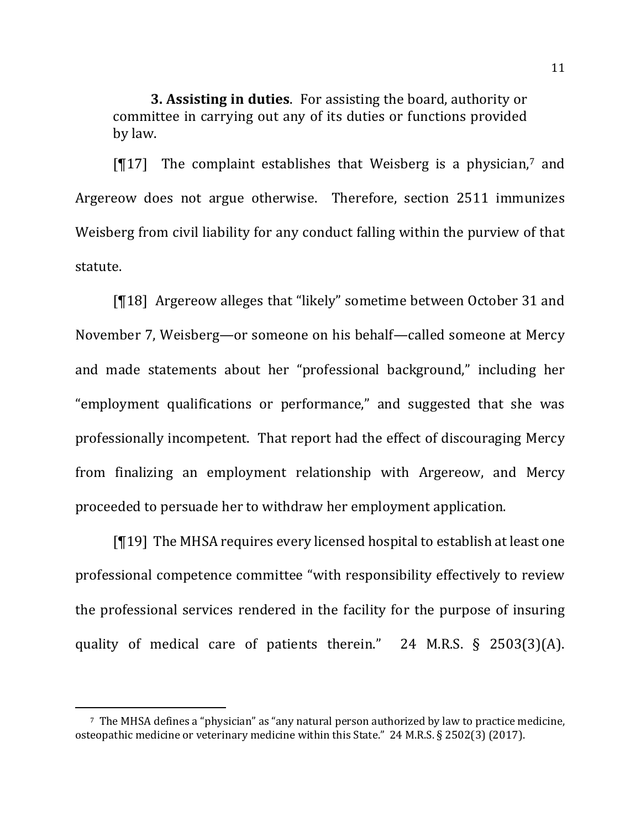**3. Assisting in duties.** For assisting the board, authority or committee in carrying out any of its duties or functions provided by law.

 $[T17]$  The complaint establishes that Weisberg is a physician,<sup>7</sup> and Argereow does not argue otherwise. Therefore, section 2511 immunizes Weisberg from civil liability for any conduct falling within the purview of that statute. 

[¶18] Argereow alleges that "likely" sometime between October 31 and November 7, Weisberg—or someone on his behalf—called someone at Mercy and made statements about her "professional background," including her "employment qualifications or performance," and suggested that she was professionally incompetent. That report had the effect of discouraging Mercy from finalizing an employment relationship with Argereow, and Mercy proceeded to persuade her to withdraw her employment application.

 $[19]$  The MHSA requires every licensed hospital to establish at least one professional competence committee "with responsibility effectively to review the professional services rendered in the facility for the purpose of insuring quality of medical care of patients therein." 24 M.R.S.  $\S$  2503(3)(A).

l

<sup>&</sup>lt;sup>7</sup> The MHSA defines a "physician" as "any natural person authorized by law to practice medicine, osteopathic medicine or veterinary medicine within this State." 24 M.R.S. § 2502(3) (2017).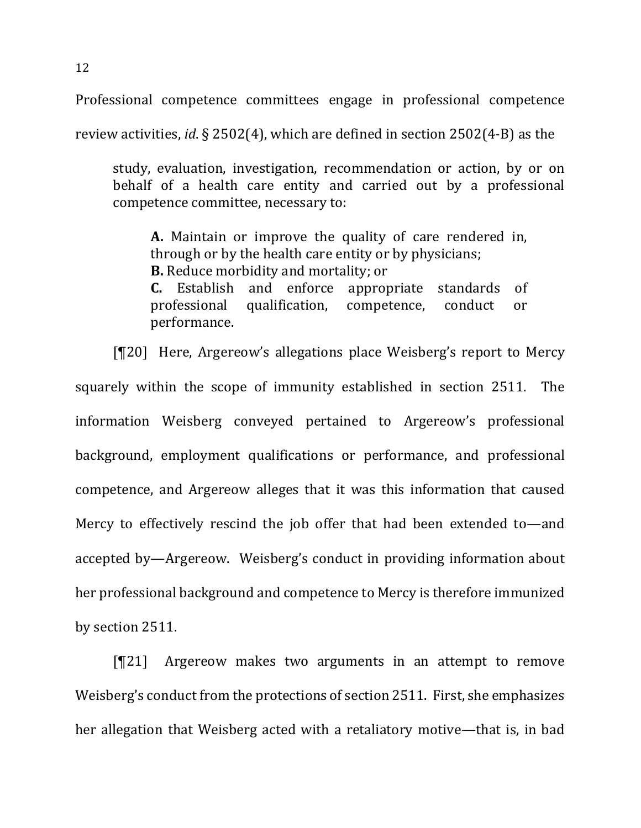Professional competence committees engage in professional competence

review activities, *id*. § 2502(4), which are defined in section 2502(4-B) as the

study, evaluation, investigation, recommendation or action, by or on behalf of a health care entity and carried out by a professional competence committee, necessary to:

**A.** Maintain or improve the quality of care rendered in, through or by the health care entity or by physicians; **B.** Reduce morbidity and mortality; or **C.** Establish and enforce appropriate standards of

professional qualification, competence, conduct or performance.

[¶20] Here, Argereow's allegations place Weisberg's report to Mercy squarely within the scope of immunity established in section 2511. The information Weisberg conveyed pertained to Argereow's professional background, employment qualifications or performance, and professional competence, and Argereow alleges that it was this information that caused Mercy to effectively rescind the job offer that had been extended to—and accepted by—Argereow. Weisberg's conduct in providing information about her professional background and competence to Mercy is therefore immunized by section 2511.

 $[T21]$  Argereow makes two arguments in an attempt to remove Weisberg's conduct from the protections of section 2511. First, she emphasizes her allegation that Weisberg acted with a retaliatory motive—that is, in bad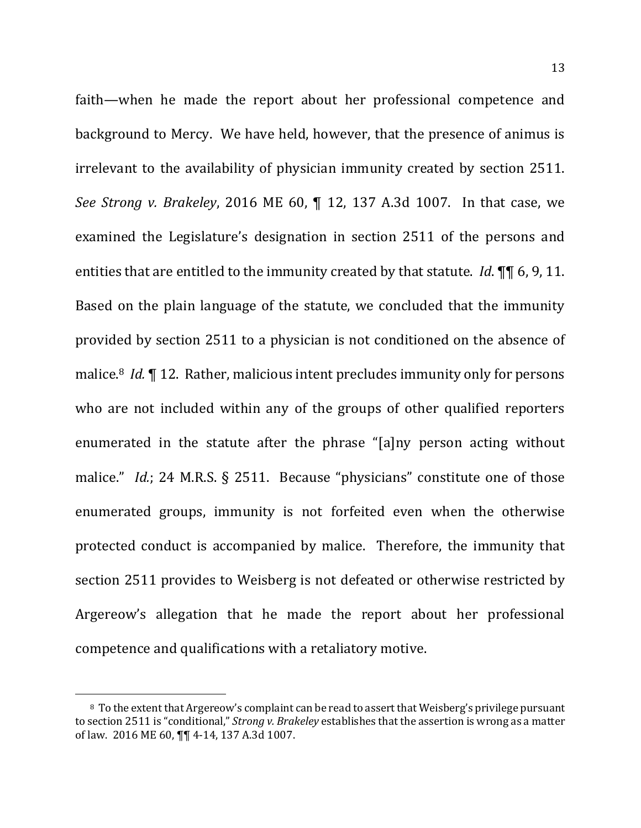faith—when he made the report about her professional competence and background to Mercy. We have held, however, that the presence of animus is irrelevant to the availability of physician immunity created by section 2511. *See Strong v. Brakeley*, 2016 ME 60,  $\P$  12, 137 A.3d 1007. In that case, we examined the Legislature's designation in section 2511 of the persons and entities that are entitled to the immunity created by that statute. *Id*. **¶ [6**, 9, 11. Based on the plain language of the statute, we concluded that the immunity provided by section 2511 to a physician is not conditioned on the absence of malice.<sup>8</sup> *Id.* 12. Rather, malicious intent precludes immunity only for persons who are not included within any of the groups of other qualified reporters enumerated in the statute after the phrase "[a]ny person acting without malice." *Id.*; 24 M.R.S. § 2511. Because "physicians" constitute one of those enumerated groups, immunity is not forfeited even when the otherwise protected conduct is accompanied by malice. Therefore, the immunity that section 2511 provides to Weisberg is not defeated or otherwise restricted by Argereow's allegation that he made the report about her professional competence and qualifications with a retaliatory motive.

<sup>&</sup>lt;sup>8</sup> To the extent that Argereow's complaint can be read to assert that Weisberg's privilege pursuant to section 2511 is "conditional," *Strong v. Brakeley* establishes that the assertion is wrong as a matter of law. 2016 ME 60,  $\P\P$  4-14, 137 A.3d 1007.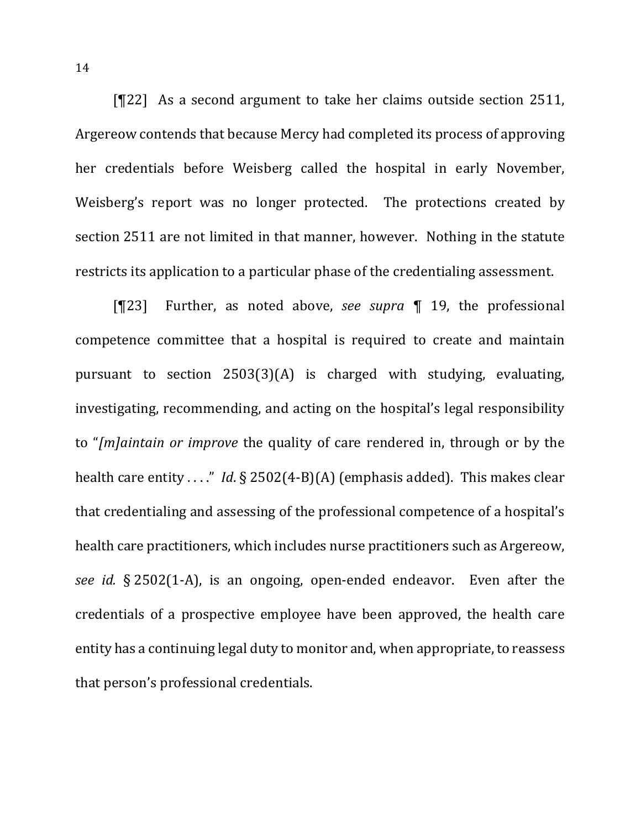[¶22] As a second argument to take her claims outside section 2511, Argereow contends that because Mercy had completed its process of approving her credentials before Weisberg called the hospital in early November, Weisberg's report was no longer protected. The protections created by section 2511 are not limited in that manner, however. Nothing in the statute restricts its application to a particular phase of the credentialing assessment.

[¶23] Further, as noted above, *see supra* ¶ 19, the professional competence committee that a hospital is required to create and maintain pursuant to section  $2503(3)(A)$  is charged with studying, evaluating, investigating, recommending, and acting on the hospital's legal responsibility to "*[m]aintain or improve* the quality of care rendered in, through or by the health care entity . . . " *Id*.  $\S$  2502(4-B)(A) (emphasis added). This makes clear that credentialing and assessing of the professional competence of a hospital's health care practitioners, which includes nurse practitioners such as Argereow, *see id.* § 2502(1-A), is an ongoing, open-ended endeavor. Even after the credentials of a prospective employee have been approved, the health care entity has a continuing legal duty to monitor and, when appropriate, to reassess that person's professional credentials.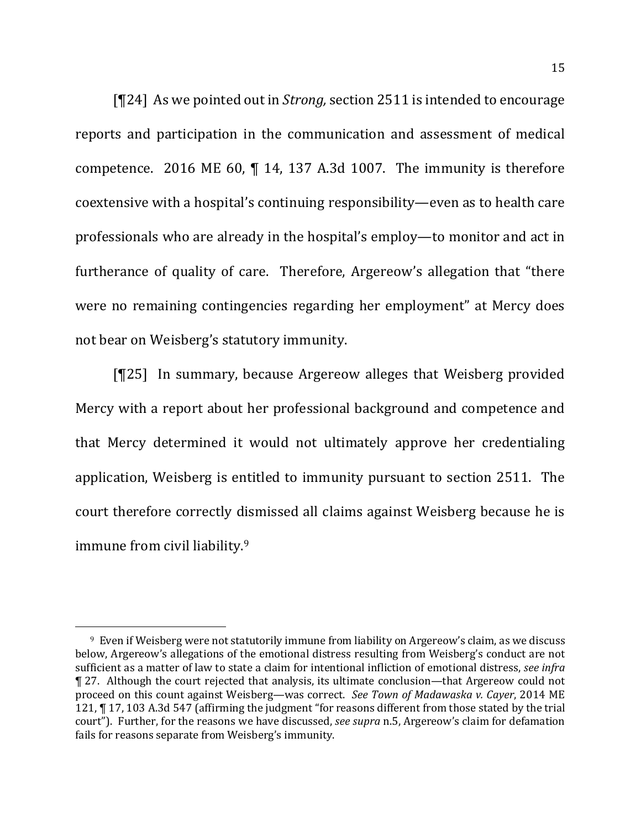[¶24] As we pointed out in *Strong*, section 2511 is intended to encourage reports and participation in the communication and assessment of medical competence. 2016 ME 60,  $\P$  14, 137 A.3d 1007. The immunity is therefore coextensive with a hospital's continuing responsibility—even as to health care professionals who are already in the hospital's employ—to monitor and act in furtherance of quality of care. Therefore, Argereow's allegation that "there were no remaining contingencies regarding her employment" at Mercy does not bear on Weisberg's statutory immunity.

[¶25] In summary, because Argereow alleges that Weisberg provided Mercy with a report about her professional background and competence and that Mercy determined it would not ultimately approve her credentialing application, Weisberg is entitled to immunity pursuant to section 2511. The court therefore correctly dismissed all claims against Weisberg because he is immune from civil liability.<sup>9</sup>

 $9$  Even if Weisberg were not statutorily immune from liability on Argereow's claim, as we discuss below, Argereow's allegations of the emotional distress resulting from Weisberg's conduct are not sufficient as a matter of law to state a claim for intentional infliction of emotional distress, *see infra* ¶ 27. Although the court rejected that analysis, its ultimate conclusion—that Argereow could not proceed on this count against Weisberg—was correct. See Town of Madawaska v. Cayer, 2014 ME 121, ¶ 17, 103 A.3d 547 (affirming the judgment "for reasons different from those stated by the trial court"). Further, for the reasons we have discussed, *see supra* n.5, Argereow's claim for defamation fails for reasons separate from Weisberg's immunity.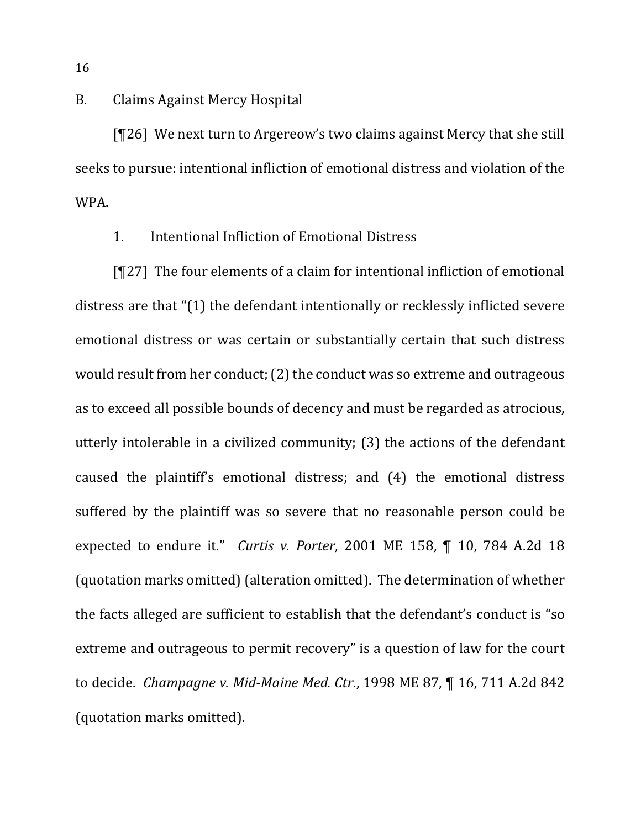# B. Claims Against Mercy Hospital

 $[T26]$  We next turn to Argereow's two claims against Mercy that she still seeks to pursue: intentional infliction of emotional distress and violation of the WPA. 

# 1. Intentional Infliction of Emotional Distress

 $[T27]$  The four elements of a claim for intentional infliction of emotional distress are that "(1) the defendant intentionally or recklessly inflicted severe emotional distress or was certain or substantially certain that such distress would result from her conduct; (2) the conduct was so extreme and outrageous as to exceed all possible bounds of decency and must be regarded as atrocious, utterly intolerable in a civilized community;  $(3)$  the actions of the defendant caused the plaintiff's emotional distress; and (4) the emotional distress suffered by the plaintiff was so severe that no reasonable person could be expected to endure it." *Curtis v. Porter*, 2001 ME 158, ¶ 10, 784 A.2d 18 (quotation marks omitted) (alteration omitted). The determination of whether the facts alleged are sufficient to establish that the defendant's conduct is "so extreme and outrageous to permit recovery" is a question of law for the court to decide. *Champagne v. Mid-Maine Med. Ctr.*, 1998 ME 87, ¶ 16, 711 A.2d 842 (quotation marks omitted).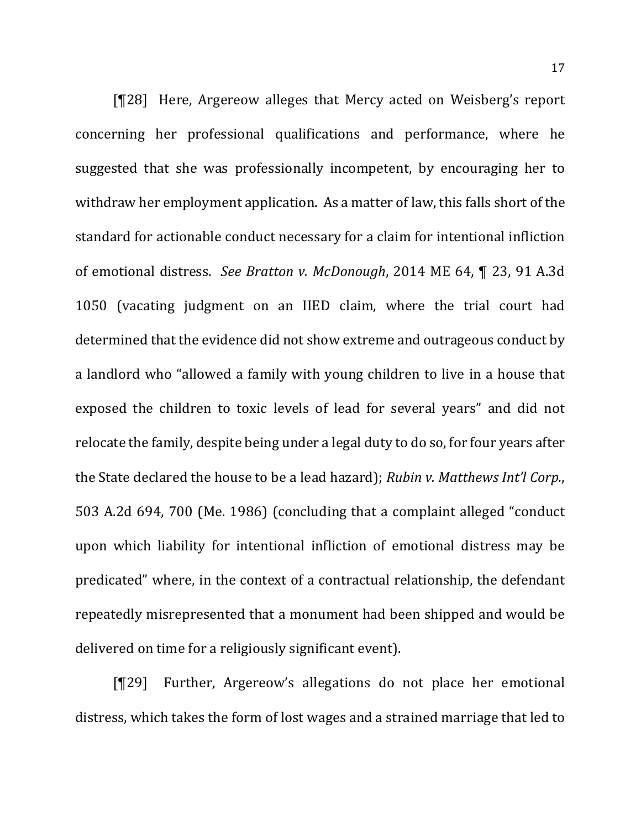[¶28] Here, Argereow alleges that Mercy acted on Weisberg's report concerning her professional qualifications and performance, where he suggested that she was professionally incompetent, by encouraging her to withdraw her employment application. As a matter of law, this falls short of the standard for actionable conduct necessary for a claim for intentional infliction of emotional distress. See Bratton v. McDonough, 2014 ME 64, ¶ 23, 91 A.3d 1050 (vacating judgment on an IIED claim, where the trial court had determined that the evidence did not show extreme and outrageous conduct by a landlord who "allowed a family with young children to live in a house that exposed the children to toxic levels of lead for several years" and did not relocate the family, despite being under a legal duty to do so, for four years after the State declared the house to be a lead hazard); *Rubin v. Matthews Int'l Corp.*, 503 A.2d 694, 700 (Me. 1986) (concluding that a complaint alleged "conduct upon which liability for intentional infliction of emotional distress may be predicated" where, in the context of a contractual relationship, the defendant repeatedly misrepresented that a monument had been shipped and would be delivered on time for a religiously significant event).

[¶29] Further, Argereow's allegations do not place her emotional distress, which takes the form of lost wages and a strained marriage that led to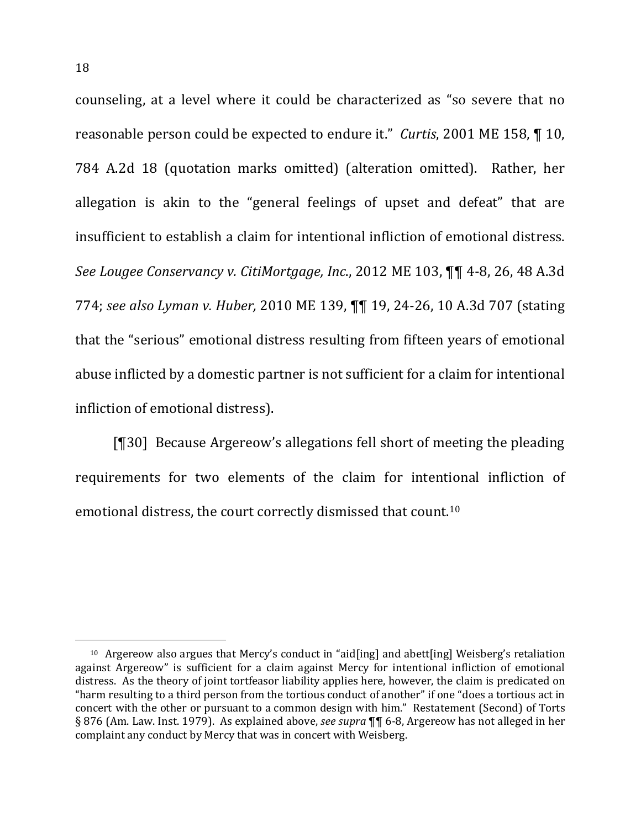counseling, at a level where it could be characterized as "so severe that no reasonable person could be expected to endure it." *Curtis*, 2001 ME 158, ¶ 10, 784 A.2d 18 (quotation marks omitted) (alteration omitted). Rather, her allegation is akin to the "general feelings of upset and defeat" that are insufficient to establish a claim for intentional infliction of emotional distress. *See Lougee Conservancy v. CitiMortgage, Inc.*, 2012 ME 103,  $\P\P$  4-8, 26, 48 A.3d 774; see also Lyman v. Huber, 2010 ME 139,  $\P\P$  19, 24-26, 10 A.3d 707 (stating that the "serious" emotional distress resulting from fifteen years of emotional abuse inflicted by a domestic partner is not sufficient for a claim for intentional infliction of emotional distress).

[¶30] Because Argereow's allegations fell short of meeting the pleading requirements for two elements of the claim for intentional infliction of emotional distress, the court correctly dismissed that count.<sup>10</sup>

<sup>&</sup>lt;sup>10</sup> Argereow also argues that Mercy's conduct in "aid[ing] and abett[ing] Weisberg's retaliation against Argereow" is sufficient for a claim against Mercy for intentional infliction of emotional distress. As the theory of joint tortfeasor liability applies here, however, the claim is predicated on "harm resulting to a third person from the tortious conduct of another" if one "does a tortious act in concert with the other or pursuant to a common design with him." Restatement (Second) of Torts § 876 (Am. Law. Inst. 1979). As explained above, *see supra* ¶¶ 6-8, Argereow has not alleged in her complaint any conduct by Mercy that was in concert with Weisberg.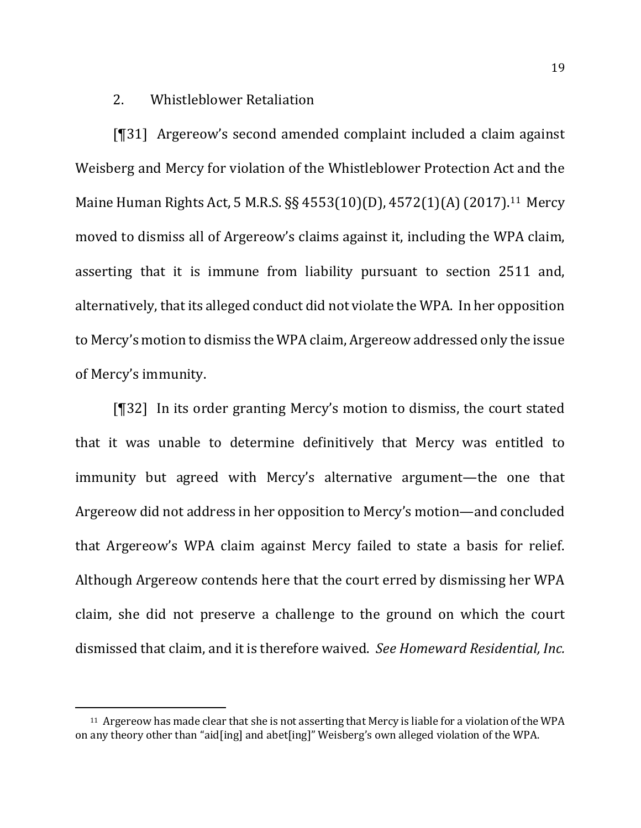## 2. Whistleblower Retaliation

[¶31] Argereow's second amended complaint included a claim against Weisberg and Mercy for violation of the Whistleblower Protection Act and the Maine Human Rights Act, 5 M.R.S. §§ 4553(10)(D), 4572(1)(A) (2017).<sup>11</sup> Mercy moved to dismiss all of Argereow's claims against it, including the WPA claim, asserting that it is immune from liability pursuant to section 2511 and, alternatively, that its alleged conduct did not violate the WPA. In her opposition to Mercy's motion to dismiss the WPA claim, Argereow addressed only the issue of Mercy's immunity.

[¶32] In its order granting Mercy's motion to dismiss, the court stated that it was unable to determine definitively that Mercy was entitled to immunity but agreed with Mercy's alternative argument—the one that Argereow did not address in her opposition to Mercy's motion—and concluded that Argereow's WPA claim against Mercy failed to state a basis for relief. Although Argereow contends here that the court erred by dismissing her WPA claim, she did not preserve a challenge to the ground on which the court dismissed that claim, and it is therefore waived. See *Homeward Residential, Inc.* 

l

<sup>&</sup>lt;sup>11</sup> Argereow has made clear that she is not asserting that Mercy is liable for a violation of the WPA on any theory other than "aid[ing] and abet[ing]" Weisberg's own alleged violation of the WPA.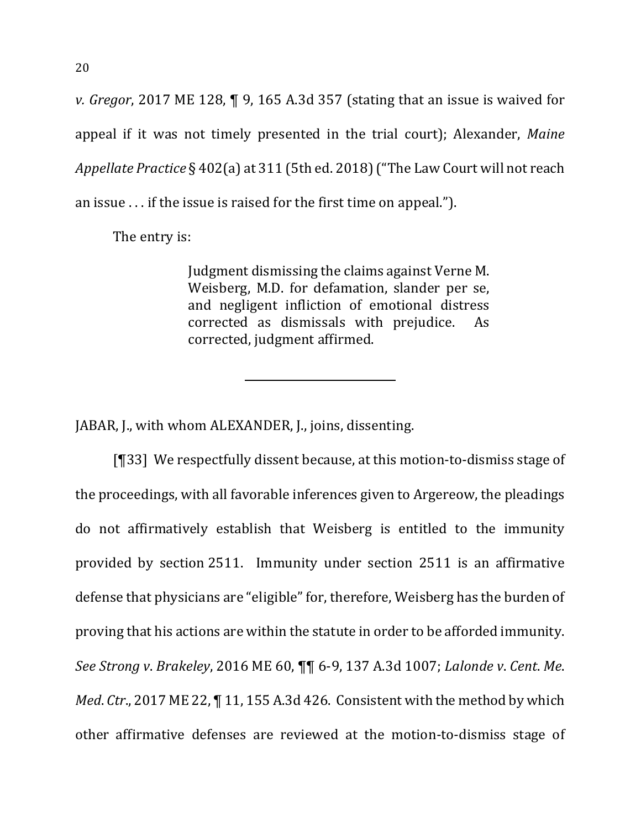*v. Gregor*, 2017 ME 128, ¶ 9, 165 A.3d 357 (stating that an issue is waived for appeal if it was not timely presented in the trial court); Alexander, *Maine Appellate Practice* § 402(a) at 311 (5th ed. 2018) ("The Law Court will not reach an issue  $\ldots$  if the issue is raised for the first time on appeal.").

The entry is:

Judgment dismissing the claims against Verne M. Weisberg, M.D. for defamation, slander per se, and negligent infliction of emotional distress corrected as dismissals with prejudice. As corrected, judgment affirmed.

JABAR, J., with whom ALEXANDER, J., joins, dissenting.

 $[$ [33] We respectfully dissent because, at this motion-to-dismiss stage of the proceedings, with all favorable inferences given to Argereow, the pleadings do not affirmatively establish that Weisberg is entitled to the immunity provided by section 2511. Immunity under section 2511 is an affirmative defense that physicians are "eligible" for, therefore, Weisberg has the burden of proving that his actions are within the statute in order to be afforded immunity. *See Strong v*. *Brakeley*, 2016 ME 60, ¶¶ 6-9, 137 A.3d 1007; *Lalonde v*. *Cent*. *Me*. *Med. Ctr.*, 2017 ME 22,  $\P$  11, 155 A.3d 426. Consistent with the method by which other affirmative defenses are reviewed at the motion-to-dismiss stage of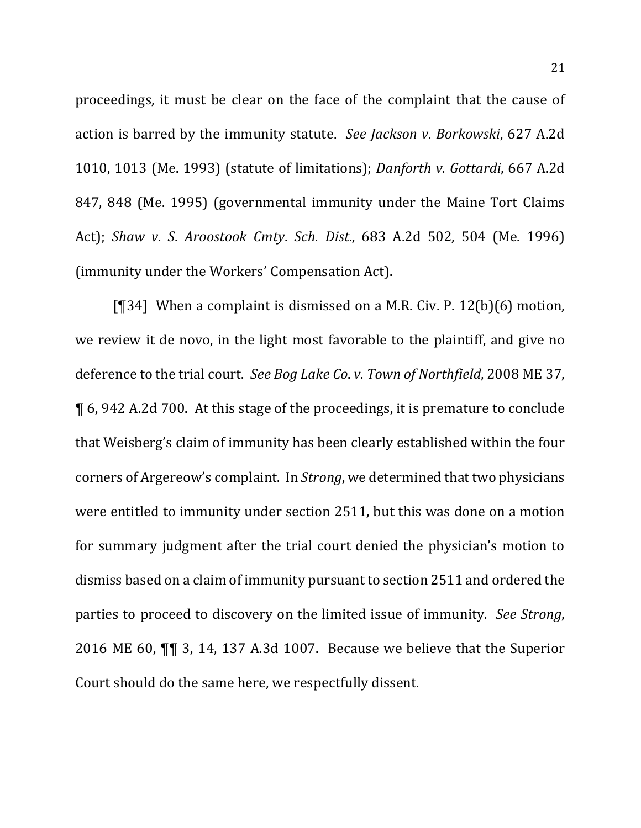proceedings, it must be clear on the face of the complaint that the cause of action is barred by the immunity statute. See Jackson v. Borkowski, 627 A.2d 1010, 1013 (Me. 1993) (statute of limitations); *Danforth v. Gottardi*, 667 A.2d 847, 848 (Me. 1995) (governmental immunity under the Maine Tort Claims Act); *Shaw v*. *S*. *Aroostook Cmty*. *Sch*. *Dist*., 683 A.2d 502, 504 (Me. 1996) (immunity under the Workers' Compensation Act).

[ $[$ ][34] When a complaint is dismissed on a M.R. Civ. P. 12(b)(6) motion, we review it de novo, in the light most favorable to the plaintiff, and give no deference to the trial court. See Bog Lake Co. v. Town of Northfield, 2008 ME 37, ¶ 6, 942 A.2d 700. At this stage of the proceedings, it is premature to conclude that Weisberg's claim of immunity has been clearly established within the four corners of Argereow's complaint. In *Strong*, we determined that two physicians were entitled to immunity under section 2511, but this was done on a motion for summary judgment after the trial court denied the physician's motion to dismiss based on a claim of immunity pursuant to section 2511 and ordered the parties to proceed to discovery on the limited issue of immunity. See Strong, 2016 ME 60,  $\P\P$  3, 14, 137 A.3d 1007. Because we believe that the Superior Court should do the same here, we respectfully dissent.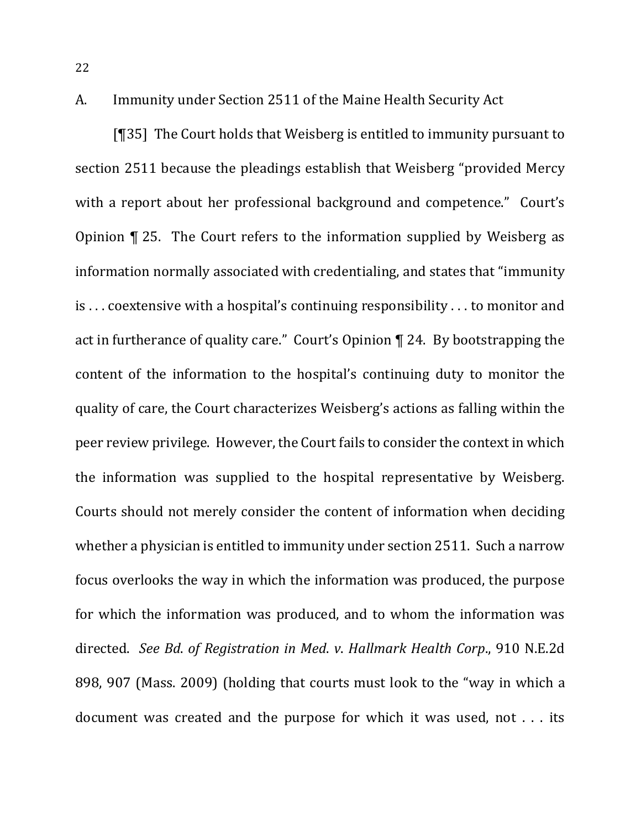A. Immunity under Section 2511 of the Maine Health Security Act

[ $[$ ] The Court holds that Weisberg is entitled to immunity pursuant to section 2511 because the pleadings establish that Weisberg "provided Mercy" with a report about her professional background and competence." Court's Opinion  $\P$  25. The Court refers to the information supplied by Weisberg as information normally associated with credentialing, and states that "immunity" is ... coextensive with a hospital's continuing responsibility ... to monitor and act in furtherance of quality care." Court's Opinion  $\P$  24. By bootstrapping the content of the information to the hospital's continuing duty to monitor the quality of care, the Court characterizes Weisberg's actions as falling within the peer review privilege. However, the Court fails to consider the context in which the information was supplied to the hospital representative by Weisberg. Courts should not merely consider the content of information when deciding whether a physician is entitled to immunity under section 2511. Such a narrow focus overlooks the way in which the information was produced, the purpose for which the information was produced, and to whom the information was directed. *See Bd*. *of Registration in Med*. *v*. *Hallmark Health Corp*., 910 N.E.2d 898, 907 (Mass. 2009) (holding that courts must look to the "way in which a document was created and the purpose for which it was used, not  $\dots$  its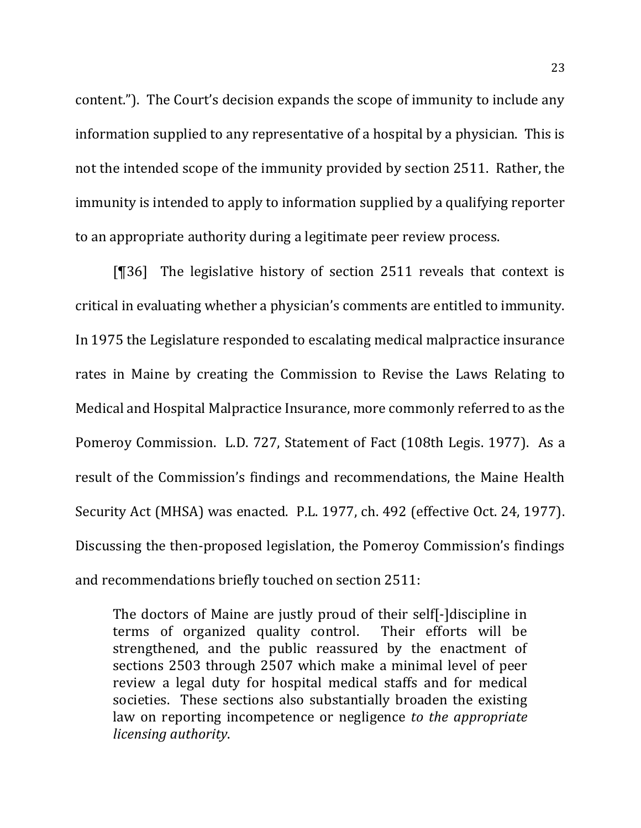content."). The Court's decision expands the scope of immunity to include any information supplied to any representative of a hospital by a physician. This is not the intended scope of the immunity provided by section 2511. Rather, the immunity is intended to apply to information supplied by a qualifying reporter to an appropriate authority during a legitimate peer review process.

 $[$ [[36] The legislative history of section 2511 reveals that context is critical in evaluating whether a physician's comments are entitled to immunity. In 1975 the Legislature responded to escalating medical malpractice insurance rates in Maine by creating the Commission to Revise the Laws Relating to Medical and Hospital Malpractice Insurance, more commonly referred to as the Pomeroy Commission. L.D. 727, Statement of Fact (108th Legis. 1977). As a result of the Commission's findings and recommendations, the Maine Health Security Act (MHSA) was enacted. P.L. 1977, ch. 492 (effective Oct. 24, 1977). Discussing the then-proposed legislation, the Pomeroy Commission's findings and recommendations briefly touched on section 2511:

The doctors of Maine are justly proud of their self- discipline in terms of organized quality control. Their efforts will be strengthened, and the public reassured by the enactment of sections 2503 through 2507 which make a minimal level of peer review a legal duty for hospital medical staffs and for medical societies. These sections also substantially broaden the existing law on reporting incompetence or negligence *to the appropriate licensing authority*.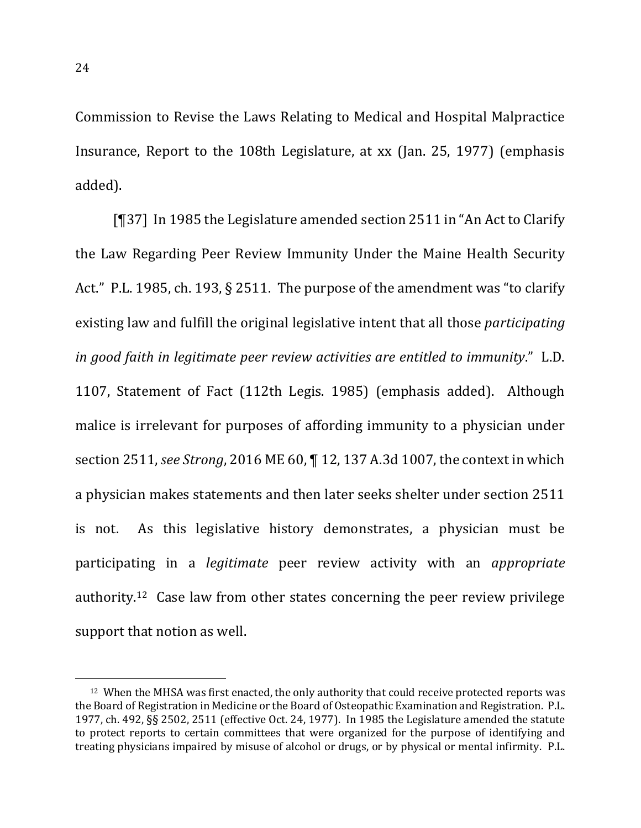Commission to Revise the Laws Relating to Medical and Hospital Malpractice Insurance, Report to the 108th Legislature, at xx (Jan. 25, 1977) (emphasis added). 

[¶37] In 1985 the Legislature amended section 2511 in "An Act to Clarify the Law Regarding Peer Review Immunity Under the Maine Health Security Act." P.L. 1985, ch. 193,  $\S$  2511. The purpose of the amendment was "to clarify existing law and fulfill the original legislative intent that all those *participating in good faith in legitimate peer review activities are entitled to immunity.*" L.D. 1107, Statement of Fact (112th Legis. 1985) (emphasis added). Although malice is irrelevant for purposes of affording immunity to a physician under section 2511, *see Strong*, 2016 ME 60,  $\P$  12, 137 A.3d 1007, the context in which a physician makes statements and then later seeks shelter under section 2511 is not. As this legislative history demonstrates, a physician must be participating in a *legitimate* peer review activity with an *appropriate* authority.<sup>12</sup> Case law from other states concerning the peer review privilege support that notion as well.

<sup>&</sup>lt;sup>12</sup> When the MHSA was first enacted, the only authority that could receive protected reports was the Board of Registration in Medicine or the Board of Osteopathic Examination and Registration. P.L. 1977, ch. 492, §§ 2502, 2511 (effective Oct. 24, 1977). In 1985 the Legislature amended the statute to protect reports to certain committees that were organized for the purpose of identifying and treating physicians impaired by misuse of alcohol or drugs, or by physical or mental infirmity. P.L.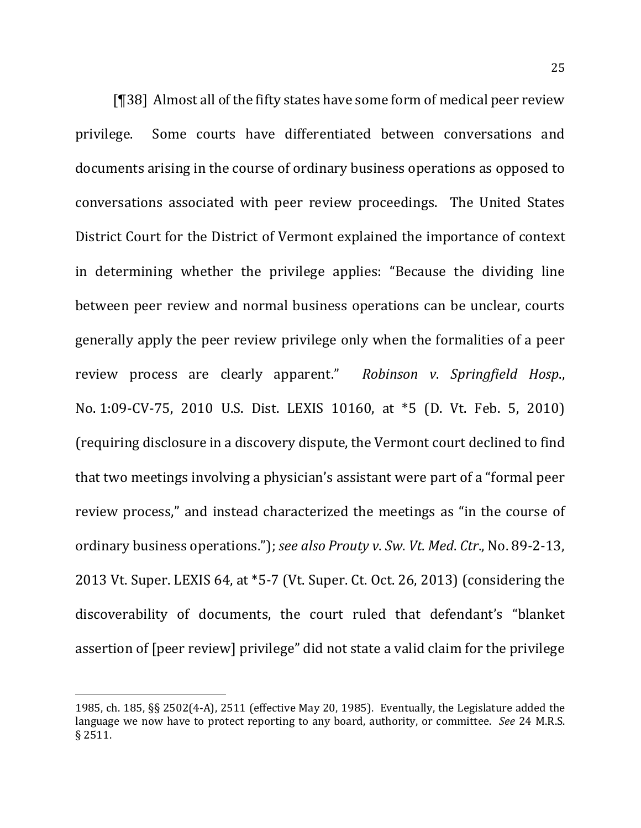[¶38] Almost all of the fifty states have some form of medical peer review privilege. Some courts have differentiated between conversations and documents arising in the course of ordinary business operations as opposed to conversations associated with peer review proceedings. The United States District Court for the District of Vermont explained the importance of context in determining whether the privilege applies: "Because the dividing line between peer review and normal business operations can be unclear, courts generally apply the peer review privilege only when the formalities of a peer review process are clearly apparent." Robinson v. Springfield Hosp., No. 1:09-CV-75, 2010 U.S. Dist. LEXIS 10160, at \*5 (D. Vt. Feb. 5, 2010) (requiring disclosure in a discovery dispute, the Vermont court declined to find that two meetings involving a physician's assistant were part of a "formal peer" review process," and instead characterized the meetings as "in the course of ordinary business operations."); *see also Prouty v. Sw. Vt. Med. Ctr.*, No. 89-2-13, 2013 Vt. Super. LEXIS 64, at  $*5-7$  (Vt. Super. Ct. Oct. 26, 2013) (considering the discoverability of documents, the court ruled that defendant's "blanket assertion of [peer review] privilege" did not state a valid claim for the privilege

<sup>1985,</sup> ch. 185,  $\S$ § 2502(4-A), 2511 (effective May 20, 1985). Eventually, the Legislature added the language we now have to protect reporting to any board, authority, or committee. See 24 M.R.S. § 2511.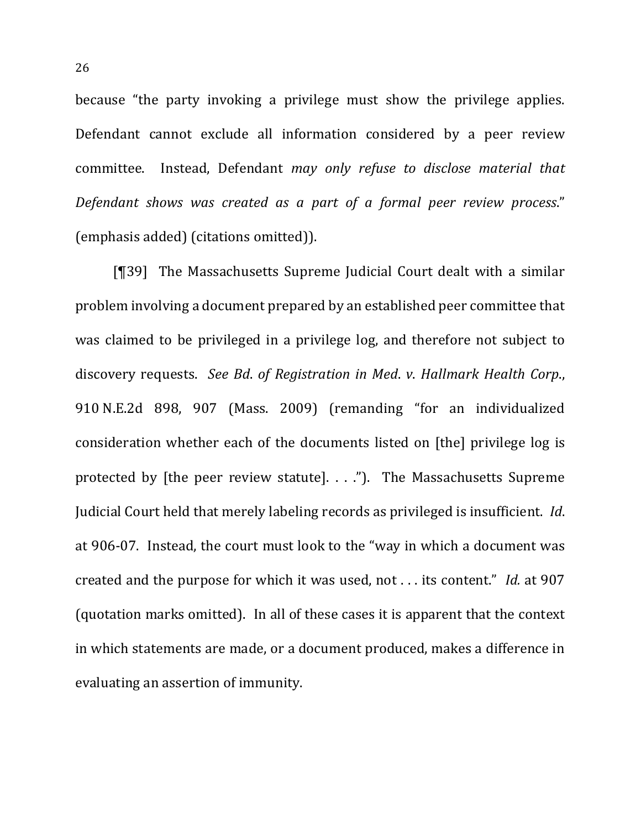because "the party invoking a privilege must show the privilege applies. Defendant cannot exclude all information considered by a peer review committee. Instead, Defendant *may only refuse to disclose material that Defendant shows was created as a part of a formal peer review process*." (emphasis added) (citations omitted)).

[¶39] The Massachusetts Supreme Judicial Court dealt with a similar problem involving a document prepared by an established peer committee that was claimed to be privileged in a privilege log, and therefore not subject to discovery requests. See Bd. of Registration in Med. v. Hallmark Health Corp., 910 N.E.2d 898, 907 (Mass. 2009) (remanding "for an individualized consideration whether each of the documents listed on [the] privilege log is protected by [the peer review statute].  $\ldots$ . The Massachusetts Supreme Judicial Court held that merely labeling records as privileged is insufficient. *Id.* at 906-07. Instead, the court must look to the "way in which a document was created and the purpose for which it was used, not . . . its content." *Id.* at 907 (quotation marks omitted). In all of these cases it is apparent that the context in which statements are made, or a document produced, makes a difference in evaluating an assertion of immunity.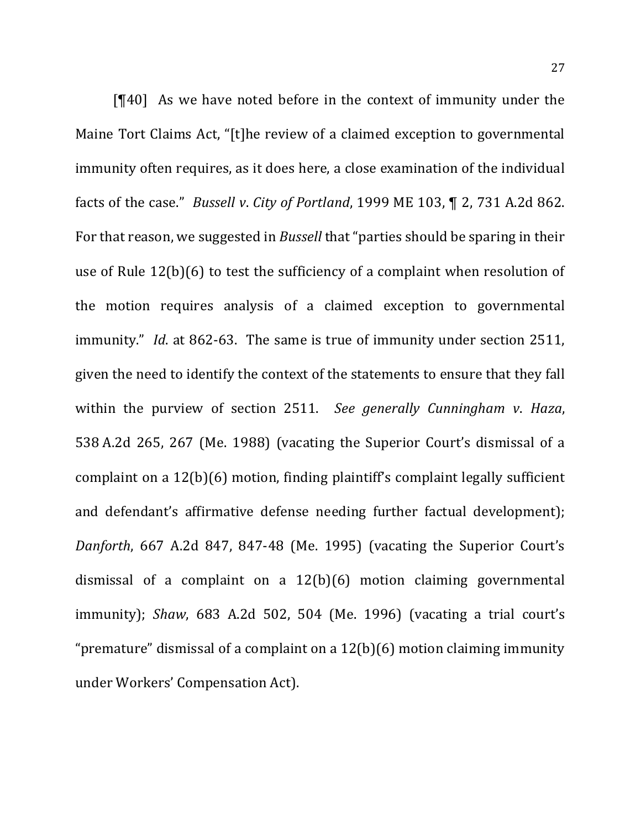$[$ [40] As we have noted before in the context of immunity under the Maine Tort Claims Act, "[t]he review of a claimed exception to governmental immunity often requires, as it does here, a close examination of the individual facts of the case." *Bussell v. City of Portland*, 1999 ME 103, ¶ 2, 731 A.2d 862. For that reason, we suggested in *Bussell* that "parties should be sparing in their use of Rule  $12(b)(6)$  to test the sufficiency of a complaint when resolution of the motion requires analysis of a claimed exception to governmental immunity." *Id.* at 862-63. The same is true of immunity under section 2511, given the need to identify the context of the statements to ensure that they fall within the purview of section 2511. See generally Cunningham v. Haza, 538 A.2d 265, 267 (Me. 1988) (vacating the Superior Court's dismissal of a complaint on a  $12(b)(6)$  motion, finding plaintiff's complaint legally sufficient and defendant's affirmative defense needing further factual development); *Danforth*, 667 A.2d 847, 847-48 (Me. 1995) (vacating the Superior Court's dismissal of a complaint on a  $12(b)(6)$  motion claiming governmental immunity); *Shaw*, 683 A.2d 502, 504 (Me. 1996) (vacating a trial court's "premature" dismissal of a complaint on a  $12(b)(6)$  motion claiming immunity under Workers' Compensation Act).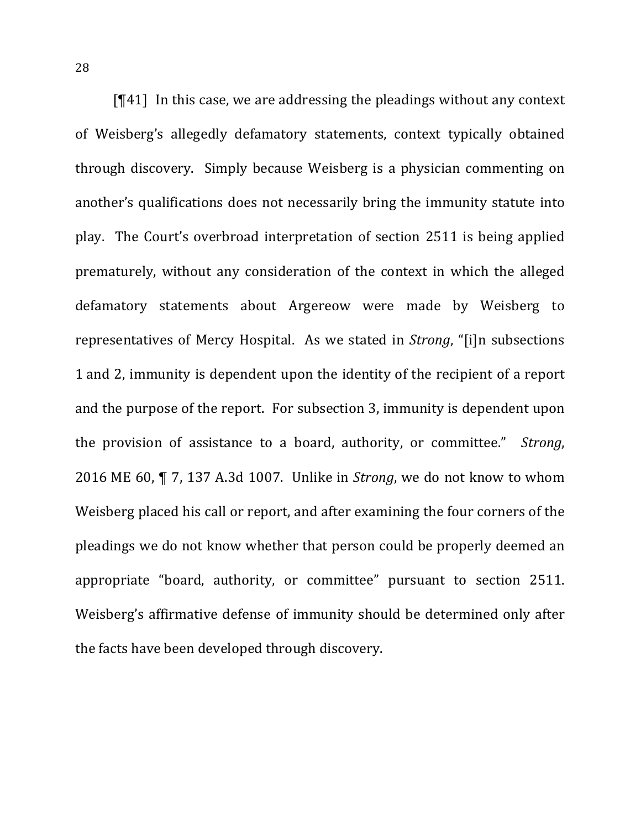$[T41]$  In this case, we are addressing the pleadings without any context of Weisberg's allegedly defamatory statements, context typically obtained through discovery. Simply because Weisberg is a physician commenting on another's qualifications does not necessarily bring the immunity statute into play. The Court's overbroad interpretation of section 2511 is being applied prematurely, without any consideration of the context in which the alleged defamatory statements about Argereow were made by Weisberg to representatives of Mercy Hospital. As we stated in *Strong*, "[i]n subsections 1 and 2, immunity is dependent upon the identity of the recipient of a report and the purpose of the report. For subsection 3, immunity is dependent upon the provision of assistance to a board, authority, or committee." *Strong*, 2016 ME 60,  $\P$  7, 137 A.3d 1007. Unlike in *Strong*, we do not know to whom Weisberg placed his call or report, and after examining the four corners of the pleadings we do not know whether that person could be properly deemed an appropriate "board, authority, or committee" pursuant to section 2511. Weisberg's affirmative defense of immunity should be determined only after the facts have been developed through discovery.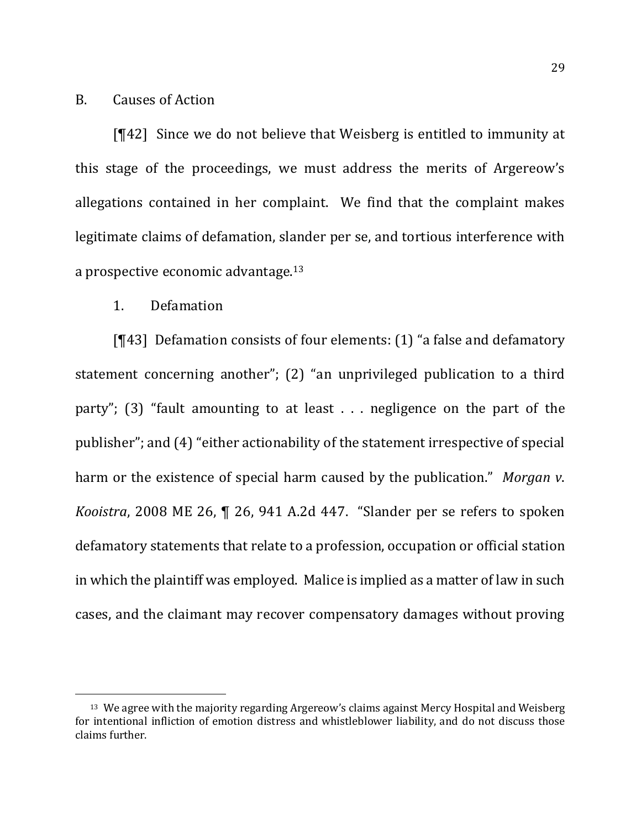## B. Causes of Action

[¶42] Since we do not believe that Weisberg is entitled to immunity at this stage of the proceedings, we must address the merits of Argereow's allegations contained in her complaint. We find that the complaint makes legitimate claims of defamation, slander per se, and tortious interference with a prospective economic advantage. $13$ 

### 1. Defamation

 $\overline{a}$ 

[ $[43]$ ] Defamation consists of four elements:  $(1)$  "a false and defamatory statement concerning another";  $(2)$  "an unprivileged publication to a third party"; (3) "fault amounting to at least  $\ldots$  negligence on the part of the publisher"; and (4) "either actionability of the statement irrespective of special harm or the existence of special harm caused by the publication." *Morgan v*. *Kooistra*, 2008 ME 26,  $\P$  26, 941 A.2d 447. "Slander per se refers to spoken defamatory statements that relate to a profession, occupation or official station in which the plaintiff was employed. Malice is implied as a matter of law in such cases, and the claimant may recover compensatory damages without proving

 $13$  We agree with the majority regarding Argereow's claims against Mercy Hospital and Weisberg for intentional infliction of emotion distress and whistleblower liability, and do not discuss those claims further.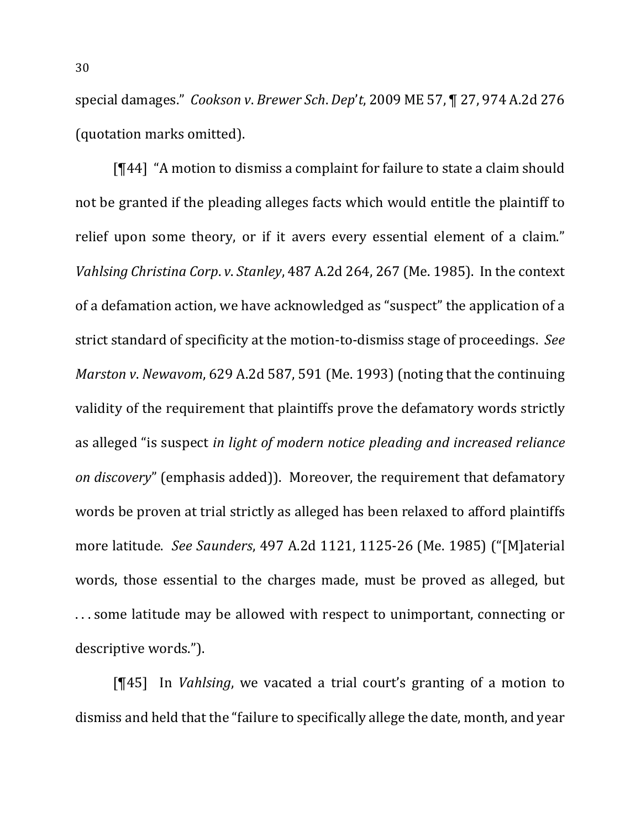special damages." *Cookson v. Brewer Sch. Dep't,* 2009 ME 57, ¶ 27, 974 A.2d 276 (quotation marks omitted).

 $[¶44]$  "A motion to dismiss a complaint for failure to state a claim should not be granted if the pleading alleges facts which would entitle the plaintiff to relief upon some theory, or if it avers every essential element of a claim." *Vahlsing Christina Corp. v. Stanley,* 487 A.2d 264, 267 (Me. 1985). In the context of a defamation action, we have acknowledged as "suspect" the application of a strict standard of specificity at the motion-to-dismiss stage of proceedings. See *Marston v. Newavom,* 629 A.2d 587, 591 (Me. 1993) (noting that the continuing validity of the requirement that plaintiffs prove the defamatory words strictly as alleged "is suspect *in light of modern notice pleading and increased reliance on discovery*" (emphasis added)). Moreover, the requirement that defamatory words be proven at trial strictly as alleged has been relaxed to afford plaintiffs more latitude. See Saunders, 497 A.2d 1121, 1125-26 (Me. 1985) ("[M]aterial words, those essential to the charges made, must be proved as alleged, but ... some latitude may be allowed with respect to unimportant, connecting or descriptive words.").

[¶45] In *Vahlsing*, we vacated a trial court's granting of a motion to dismiss and held that the "failure to specifically allege the date, month, and year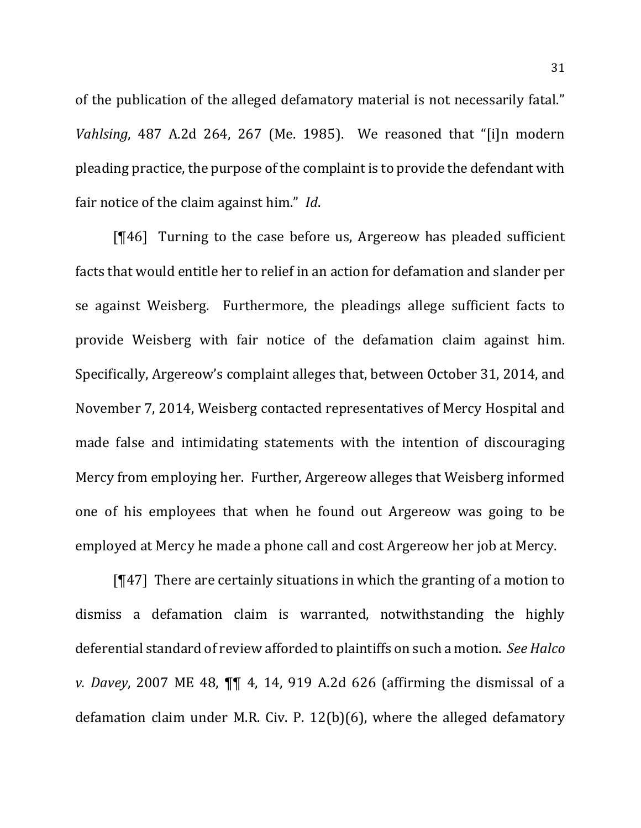of the publication of the alleged defamatory material is not necessarily fatal." *Vahlsing*, 487 A.2d 264, 267 (Me. 1985). We reasoned that "[i]n modern pleading practice, the purpose of the complaint is to provide the defendant with fair notice of the claim against him." *Id.* 

 $[T46]$  Turning to the case before us, Argereow has pleaded sufficient facts that would entitle her to relief in an action for defamation and slander per se against Weisberg. Furthermore, the pleadings allege sufficient facts to provide Weisberg with fair notice of the defamation claim against him. Specifically, Argereow's complaint alleges that, between October 31, 2014, and November 7, 2014, Weisberg contacted representatives of Mercy Hospital and made false and intimidating statements with the intention of discouraging Mercy from employing her. Further, Argereow alleges that Weisberg informed one of his employees that when he found out Argereow was going to be employed at Mercy he made a phone call and cost Argereow her job at Mercy.

 $[T47]$  There are certainly situations in which the granting of a motion to dismiss a defamation claim is warranted, notwithstanding the highly deferential standard of review afforded to plaintiffs on such a motion. See Halco *v.* Davey, 2007 ME 48,  $\P\P$  4, 14, 919 A.2d 626 (affirming the dismissal of a defamation claim under M.R. Civ. P.  $12(b)(6)$ , where the alleged defamatory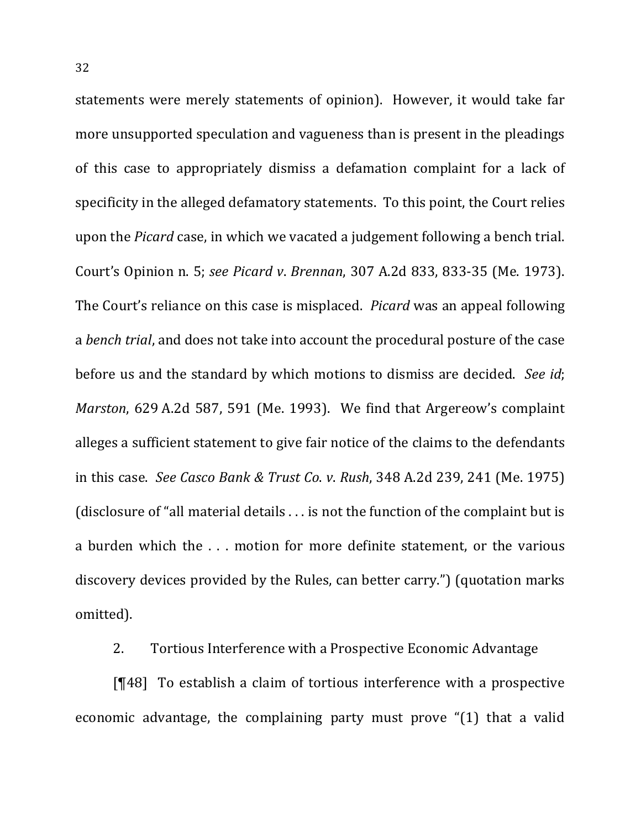statements were merely statements of opinion). However, it would take far more unsupported speculation and vagueness than is present in the pleadings of this case to appropriately dismiss a defamation complaint for a lack of specificity in the alleged defamatory statements. To this point, the Court relies upon the *Picard* case, in which we vacated a judgement following a bench trial. Court's Opinion n. 5; *see Picard v*. *Brennan*, 307 A.2d 833, 833-35 (Me. 1973). The Court's reliance on this case is misplaced. *Picard* was an appeal following a *bench trial*, and does not take into account the procedural posture of the case before us and the standard by which motions to dismiss are decided. See id; *Marston*, 629 A.2d 587, 591 (Me. 1993). We find that Argereow's complaint alleges a sufficient statement to give fair notice of the claims to the defendants in this case. See Casco Bank & Trust Co. *v*. Rush, 348 A.2d 239, 241 (Me. 1975) (disclosure of "all material details  $\dots$  is not the function of the complaint but is a burden which the ... motion for more definite statement, or the various discovery devices provided by the Rules, can better carry.") (quotation marks omitted).

2. Tortious Interference with a Prospective Economic Advantage

 $[T48]$  To establish a claim of tortious interference with a prospective economic advantage, the complaining party must prove "(1) that a valid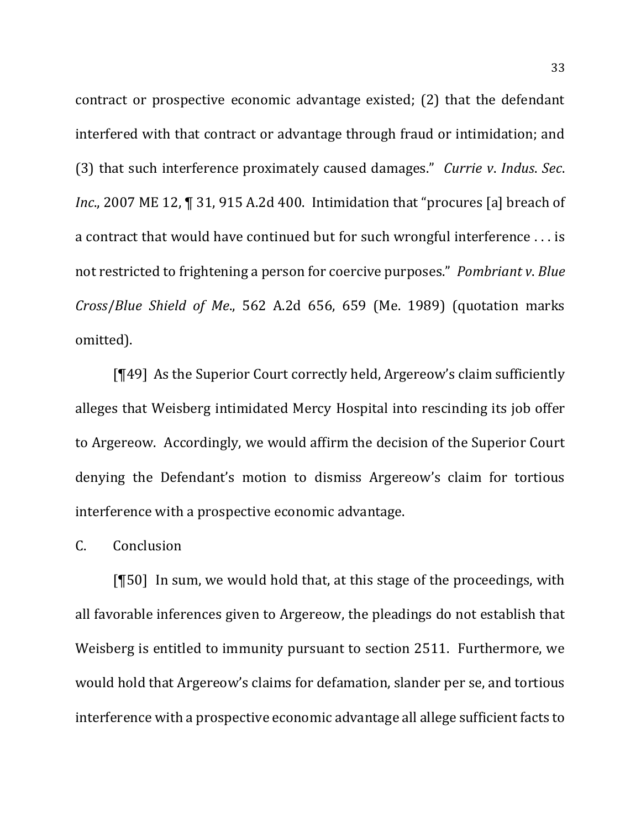contract or prospective economic advantage existed;  $(2)$  that the defendant interfered with that contract or advantage through fraud or intimidation; and (3) that such interference proximately caused damages." *Currie v. Indus. Sec. Inc.*, 2007 ME 12, **[**] 31, 915 A.2d 400. Intimidation that "procures [a] breach of a contract that would have continued but for such wrongful interference . . . is not restricted to frightening a person for coercive purposes." *Pombriant v. Blue Cross/Blue Shield of Me.*, 562 A.2d 656, 659 (Me. 1989) (quotation marks omitted). 

 $[T49]$  As the Superior Court correctly held, Argereow's claim sufficiently alleges that Weisberg intimidated Mercy Hospital into rescinding its job offer to Argereow. Accordingly, we would affirm the decision of the Superior Court denying the Defendant's motion to dismiss Argereow's claim for tortious interference with a prospective economic advantage.

### C. Conclusion

 $[$ [50] In sum, we would hold that, at this stage of the proceedings, with all favorable inferences given to Argereow, the pleadings do not establish that Weisberg is entitled to immunity pursuant to section 2511. Furthermore, we would hold that Argereow's claims for defamation, slander per se, and tortious interference with a prospective economic advantage all allege sufficient facts to